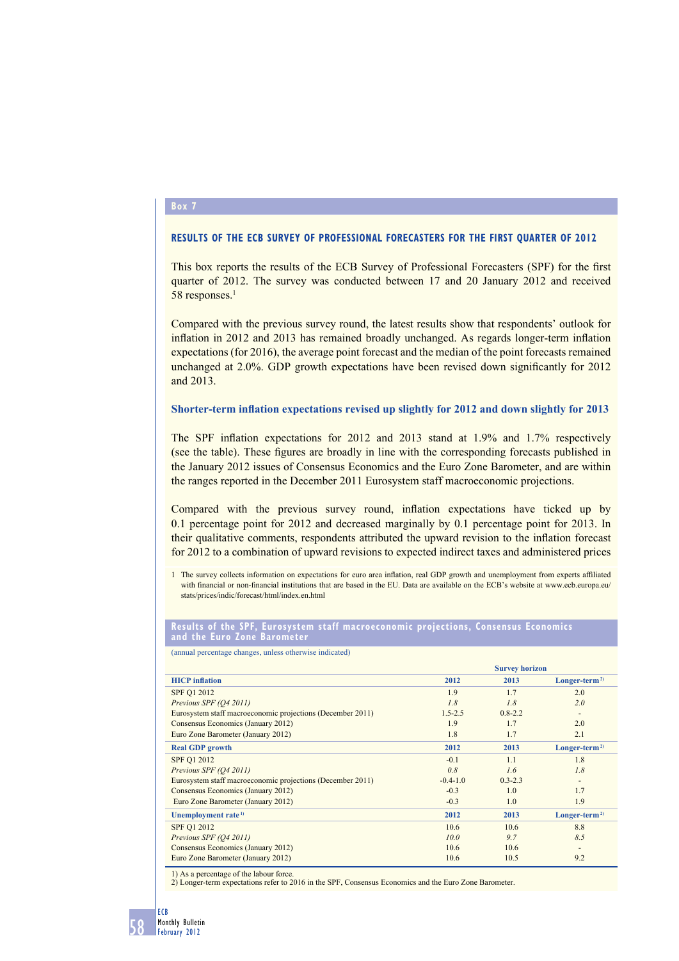# **Box 7**

# **RESULTS OF THE ECB SURVEY OF PROFESSIONAL FORECASTERS FOR THE FIRST QUARTER OF 2012**

This box reports the results of the ECB Survey of Professional Forecasters (SPF) for the first quarter of 2012. The survey was conducted between 17 and 20 January 2012 and received 58 responses.<sup>1</sup>

Compared with the previous survey round, the latest results show that respondents' outlook for inflation in 2012 and 2013 has remained broadly unchanged. As regards longer-term inflation expectations (for 2016), the average point forecast and the median of the point forecasts remained unchanged at  $2.0\%$ . GDP growth expectations have been revised down significantly for  $2012$ and 2013.

## **Shorter-term inflation expectations revised up slightly for 2012 and down slightly for 2013**

The SPF inflation expectations for 2012 and 2013 stand at 1.9% and 1.7% respectively (see the table). These figures are broadly in line with the corresponding forecasts published in the January 2012 issues of Consensus Economics and the Euro Zone Barometer, and are within the ranges reported in the December 2011 Eurosystem staff macroeconomic projections.

Compared with the previous survey round, inflation expectations have ticked up by 0.1 percentage point for 2012 and decreased marginally by 0.1 percentage point for 2013. In their qualitative comments, respondents attributed the upward revision to the inflation forecast for 2012 to a combination of upward revisions to expected indirect taxes and administered prices

1 The survey collects information on expectations for euro area inflation, real GDP growth and unemployment from experts affiliated with financial or non-financial institutions that are based in the EU. Data are available on the ECB's website at www.ecb.europa.eu/ stats/prices/indic/forecast/html/index.en.html

### **Results of the SPF, Eurosystem staff macroeconomic projections, Consensus Economics and the Euro Zone Barometer**

(annual percentage changes, unless otherwise indicated)

| <b>HICP</b> inflation                                      | <b>Survey horizon</b> |             |                           |
|------------------------------------------------------------|-----------------------|-------------|---------------------------|
|                                                            | 2012                  | 2013        | $Longer-term2$            |
| <b>SPF Q1 2012</b>                                         | 1.9                   | 1.7         | 2.0                       |
| Previous SPF (O4 2011)                                     | 1.8                   | 1.8         | 2.0                       |
| Eurosystem staff macroeconomic projections (December 2011) | $1.5 - 2.5$           | $0.8 - 2.2$ |                           |
| Consensus Economics (January 2012)                         | 1.9                   | 1.7         | 2.0                       |
| Euro Zone Barometer (January 2012)                         | 1.8                   | 1.7         | 2.1                       |
| <b>Real GDP</b> growth                                     | 2012                  | 2013        | Longer-term <sup>2)</sup> |
| SPF Q1 2012                                                | $-0.1$                | 1.1         | 1.8                       |
| Previous SPF (O4 2011)                                     | 0.8                   | 1.6         | 1.8                       |
| Eurosystem staff macroeconomic projections (December 2011) | $-0.4-1.0$            | $0.3 - 2.3$ |                           |
| Consensus Economics (January 2012)                         | $-0.3$                | 1.0         | 1.7                       |
| Euro Zone Barometer (January 2012)                         | $-0.3$                | 1.0         | 1.9                       |
| Unemployment rate <sup>1)</sup>                            | 2012                  | 2013        | Longer-term <sup>2)</sup> |
| SPF Q1 2012                                                | 10.6                  | 10.6        | 8.8                       |
| Previous SPF (O4 2011)                                     | 10.0                  | 9.7         | 8.5                       |
| Consensus Economics (January 2012)                         | 10.6                  | 10.6        |                           |
| Euro Zone Barometer (January 2012)                         | 10.6                  | 10.5        | 9.2                       |
|                                                            |                       |             |                           |

1) As a percentage of the labour force. 2) Longer-term expectations refer to 2016 in the SPF, Consensus Economics and the Euro Zone Barometer.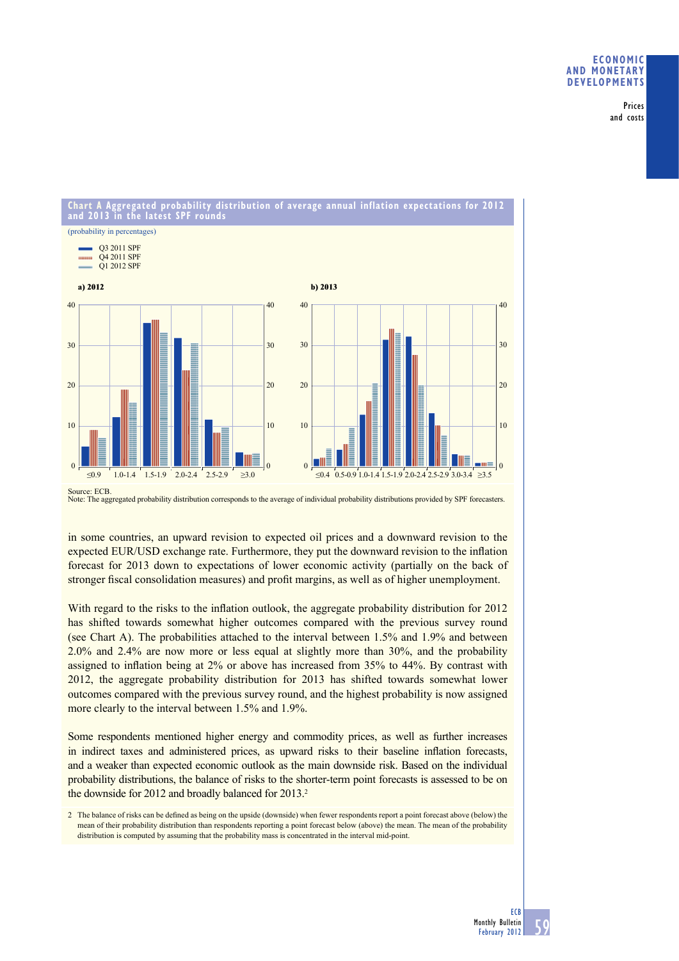## **ECONOMIC AND MONETARY DEVELOPMENTS**

Prices and costs



**Chart A Aggregated probability distribution of average annual inflation expectations for 2012** 

in some countries, an upward revision to expected oil prices and a downward revision to the expected EUR/USD exchange rate. Furthermore, they put the downward revision to the inflation forecast for 2013 down to expectations of lower economic activity (partially on the back of stronger fiscal consolidation measures) and profit margins, as well as of higher unemployment.

With regard to the risks to the inflation outlook, the aggregate probability distribution for 2012 has shifted towards somewhat higher outcomes compared with the previous survey round (see Chart A). The probabilities attached to the interval between 1.5% and 1.9% and between 2.0% and 2.4% are now more or less equal at slightly more than 30%, and the probability assigned to inflation being at  $2\%$  or above has increased from  $35\%$  to  $44\%$ . By contrast with 2012, the aggregate probability distribution for 2013 has shifted towards somewhat lower outcomes compared with the previous survey round, and the highest probability is now assigned more clearly to the interval between 1.5% and 1.9%.

Some respondents mentioned higher energy and commodity prices, as well as further increases in indirect taxes and administered prices, as upward risks to their baseline inflation forecasts, and a weaker than expected economic outlook as the main downside risk. Based on the individual probability distributions, the balance of risks to the shorter-term point forecasts is assessed to be on the downside for 2012 and broadly balanced for 2013.<sup>2</sup>

2 The balance of risks can be defined as being on the upside (downside) when fewer respondents report a point forecast above (below) the mean of their probability distribution than respondents reporting a point forecast below (above) the mean. The mean of the probability distribution is computed by assuming that the probability mass is concentrated in the interval mid-point.

Source: ECB. Note: The aggregated probability distribution corresponds to the average of individual probability distributions provided by SPF forecasters.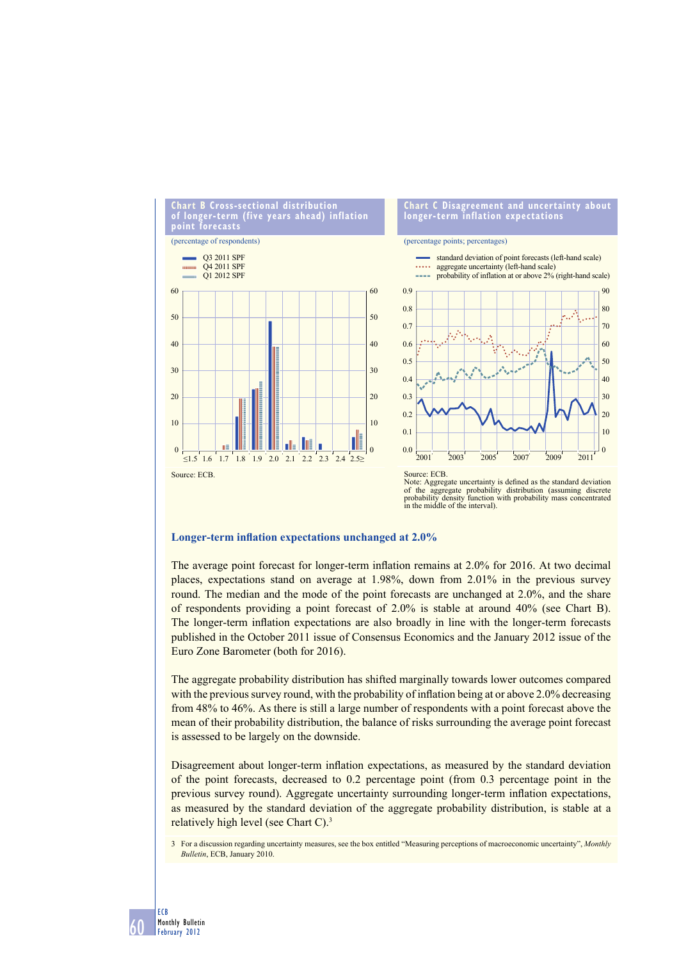

#### **Chart C Disagreement and uncertainty about longer-term inflation expectations**

#### (percentage points; percentages)





#### **Longer-term inflation expectations unchanged at 2.0%**

60

ECB Monthly Bulletin February 2012

The average point forecast for longer-term inflation remains at 2.0% for 2016. At two decimal places, expectations stand on average at 1.98%, down from 2.01% in the previous survey round. The median and the mode of the point forecasts are unchanged at 2.0%, and the share of respondents providing a point forecast of 2.0% is stable at around 40% (see Chart B). The longer-term inflation expectations are also broadly in line with the longer-term forecasts published in the October 2011 issue of Consensus Economics and the January 2012 issue of the Euro Zone Barometer (both for 2016).

The aggregate probability distribution has shifted marginally towards lower outcomes compared with the previous survey round, with the probability of inflation being at or above 2.0% decreasing from 48% to 46%. As there is still a large number of respondents with a point forecast above the mean of their probability distribution, the balance of risks surrounding the average point forecast is assessed to be largely on the downside.

Disagreement about longer-term inflation expectations, as measured by the standard deviation of the point forecasts, decreased to 0.2 percentage point (from 0.3 percentage point in the previous survey round). Aggregate uncertainty surrounding longer-term inflation expectations, as measured by the standard deviation of the aggregate probability distribution, is stable at a relatively high level (see Chart C).3

<sup>3</sup> For a discussion regarding uncertainty measures, see the box entitled "Measuring perceptions of macroeconomic uncertainty", *Monthly Bulletin*, ECB, January 2010.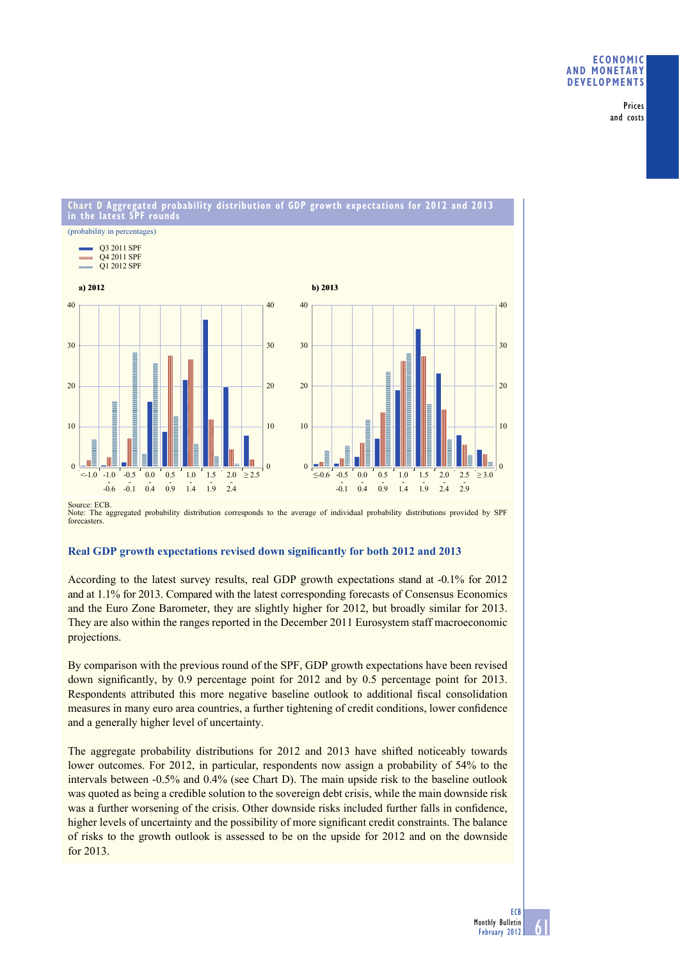# **ECONOMIC AND MONETARY DEVELOPMENTS**

Prices and costs

#### **Chart D Aggregated probability distribution of GDP growth expectations for 2012 and 2013 in the latest SPF rounds** (probability in percentages) Q3 2011 SPF Q4 2011 SPF **CONTRACTOR** Q1 2012 SPF **a) 2012 b) 2013** 40 40 40 40 30 30 30 30 **THE REAL PROPERTY AND DESCRIPTION**  $20$  $20$  $20$  $20$ 10 10 10 10 IE .mE  $\theta$  $\theta$  $\theta$  $\Omega$ -1.0 -0.5 0.0 1.0 1.5 2.0 -0.5 0.0 0.5 1.5 2.0 2.5  $\leq$ 1.0 -1.0 -0.5 0.0 0.5 1.0 1.5 2.0  $\geq$ 2.5  $\leq$  0.6 -0.5 0.0 0.5 1.0 1.5 2.0 2.5  $\geq$  3.0  $-0.6$  $-0.1$  $\overline{0.4}$  $\frac{1}{1.4}$  $\overline{1.9}$  $2.4$  $-0.1$  $\vec{0.4}$  $\overline{0.9}$  $\overline{1.9}$  $2.4$  $2.9$  $0.9$ 1.4

Source: ECB. Note: The aggregated probability distribution corresponds to the average of individual probability distributions provided by SPF forecasters.

# Real GDP growth expectations revised down significantly for both 2012 and 2013

According to the latest survey results, real GDP growth expectations stand at -0.1% for 2012 and at 1.1% for 2013. Compared with the latest corresponding forecasts of Consensus Economics and the Euro Zone Barometer, they are slightly higher for 2012, but broadly similar for 2013. They are also within the ranges reported in the December 2011 Eurosystem staff macroeconomic projections.

By comparison with the previous round of the SPF, GDP growth expectations have been revised down significantly, by 0.9 percentage point for 2012 and by 0.5 percentage point for 2013. Respondents attributed this more negative baseline outlook to additional fiscal consolidation measures in many euro area countries, a further tightening of credit conditions, lower confidence and a generally higher level of uncertainty.

The aggregate probability distributions for 2012 and 2013 have shifted noticeably towards lower outcomes. For 2012, in particular, respondents now assign a probability of 54% to the intervals between -0.5% and 0.4% (see Chart D). The main upside risk to the baseline outlook was quoted as being a credible solution to the sovereign debt crisis, while the main downside risk was a further worsening of the crisis. Other downside risks included further falls in confidence, higher levels of uncertainty and the possibility of more significant credit constraints. The balance of risks to the growth outlook is assessed to be on the upside for 2012 and on the downside for 2013.